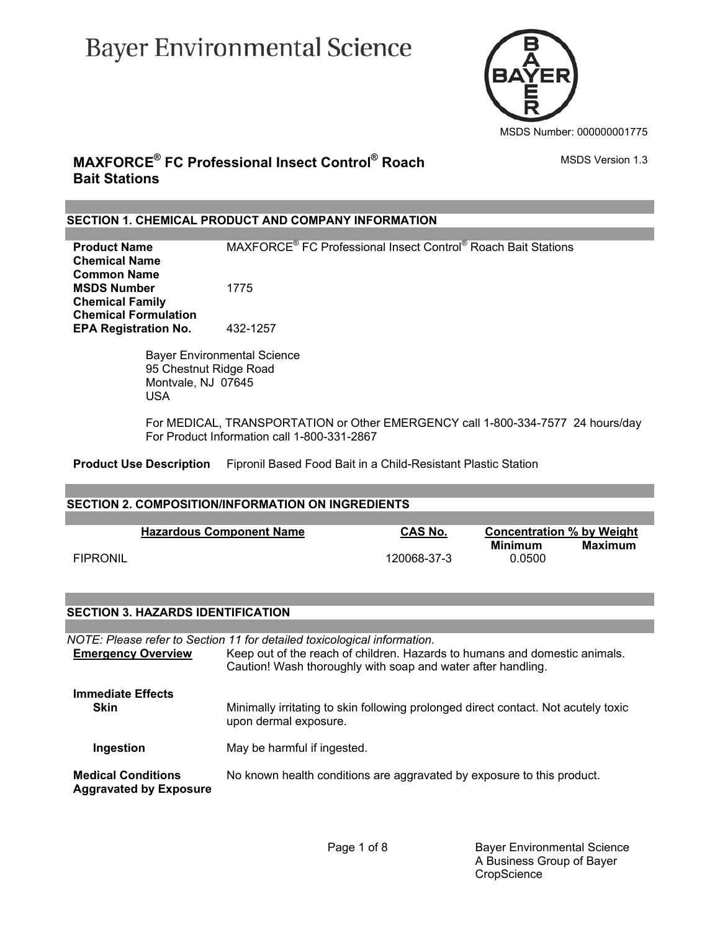# **Bayer Environmental Science**



### **MAXFORCE® FC Professional Insect Control® Roach Bait Stations**

#### **SECTION 1. CHEMICAL PRODUCT AND COMPANY INFORMATION**

**Product Name**  FC Professional Insect Control® Roach Bait Stations **Chemical Name Common Name MSDS Number** 1775 **Chemical Family Chemical Formulation EPA Registration No.** 432-1257

> Bayer Environmental Science 95 Chestnut Ridge Road Montvale, NJ 07645 USA

 For MEDICAL, TRANSPORTATION or Other EMERGENCY call 1-800-334-7577 24 hours/day For Product Information call 1-800-331-2867

**Product Use Description** Fipronil Based Food Bait in a Child-Resistant Plastic Station

#### **SECTION 2. COMPOSITION/INFORMATION ON INGREDIENTS**

|                 | <b>Hazardous Component Name</b> | <b>CAS No.</b> | <b>Concentration % by Weight</b> |         |
|-----------------|---------------------------------|----------------|----------------------------------|---------|
| <b>FIPRONIL</b> |                                 | 120068-37-3    | Minimum<br>0.0500                | Maximum |

#### **SECTION 3. HAZARDS IDENTIFICATION**

| NOTE: Please refer to Section 11 for detailed toxicological information. |                                                                                                                                            |  |
|--------------------------------------------------------------------------|--------------------------------------------------------------------------------------------------------------------------------------------|--|
| <b>Emergency Overview</b>                                                | Keep out of the reach of children. Hazards to humans and domestic animals.<br>Caution! Wash thoroughly with soap and water after handling. |  |
| <b>Immediate Effects</b>                                                 |                                                                                                                                            |  |
| <b>Skin</b>                                                              | Minimally irritating to skin following prolonged direct contact. Not acutely toxic<br>upon dermal exposure.                                |  |
| Ingestion                                                                | May be harmful if ingested.                                                                                                                |  |
| <b>Medical Conditions</b><br><b>Aggravated by Exposure</b>               | No known health conditions are aggravated by exposure to this product.                                                                     |  |

MSDS Version 1.3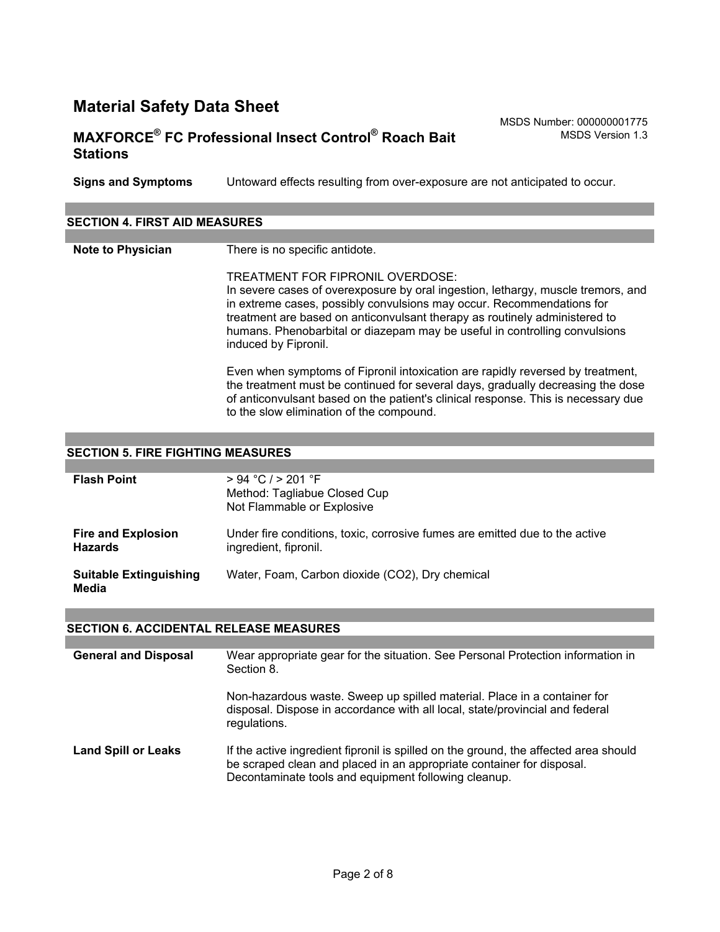# **MAXFORCE® FC Professional Insect Control® Roach Bait Stations**

MSDS Number: 000000001775 MSDS Version 1.3

**Signs and Symptoms** Untoward effects resulting from over-exposure are not anticipated to occur.

| <b>SECTION 4. FIRST AID MEASURES</b> |                                                                                                                                                                                                                                                                                                                                                                                   |  |
|--------------------------------------|-----------------------------------------------------------------------------------------------------------------------------------------------------------------------------------------------------------------------------------------------------------------------------------------------------------------------------------------------------------------------------------|--|
|                                      |                                                                                                                                                                                                                                                                                                                                                                                   |  |
| <b>Note to Physician</b>             | There is no specific antidote.                                                                                                                                                                                                                                                                                                                                                    |  |
|                                      | TREATMENT FOR FIPRONIL OVERDOSE:<br>In severe cases of overexposure by oral ingestion, lethargy, muscle tremors, and<br>in extreme cases, possibly convulsions may occur. Recommendations for<br>treatment are based on anticonvulsant therapy as routinely administered to<br>humans. Phenobarbital or diazepam may be useful in controlling convulsions<br>induced by Fipronil. |  |
|                                      | Even when symptoms of Fipronil intoxication are rapidly reversed by treatment,<br>the treatment must be continued for several days, gradually decreasing the dose<br>of anticonvulsant based on the patient's clinical response. This is necessary due<br>to the slow elimination of the compound.                                                                                |  |
|                                      |                                                                                                                                                                                                                                                                                                                                                                                   |  |
| <b>CECTION</b>                       | <b>EIDE EICUTING MEACHDEG</b>                                                                                                                                                                                                                                                                                                                                                     |  |

#### **SECTION 5. FIRE FIGHTING MEASURES**

| <b>Flash Point</b>                          | > 94 °C / > 201 °F<br>Method: Tagliabue Closed Cup<br>Not Flammable or Explosive                     |
|---------------------------------------------|------------------------------------------------------------------------------------------------------|
| <b>Fire and Explosion</b><br><b>Hazards</b> | Under fire conditions, toxic, corrosive fumes are emitted due to the active<br>ingredient, fipronil. |
| <b>Suitable Extinguishing</b><br>Media      | Water, Foam, Carbon dioxide (CO2), Dry chemical                                                      |

#### **SECTION 6. ACCIDENTAL RELEASE MEASURES**

| <b>General and Disposal</b> | Wear appropriate gear for the situation. See Personal Protection information in<br>Section 8.                                                                                                                         |
|-----------------------------|-----------------------------------------------------------------------------------------------------------------------------------------------------------------------------------------------------------------------|
|                             | Non-hazardous waste. Sweep up spilled material. Place in a container for<br>disposal. Dispose in accordance with all local, state/provincial and federal<br>regulations.                                              |
| <b>Land Spill or Leaks</b>  | If the active ingredient fipronil is spilled on the ground, the affected area should<br>be scraped clean and placed in an appropriate container for disposal.<br>Decontaminate tools and equipment following cleanup. |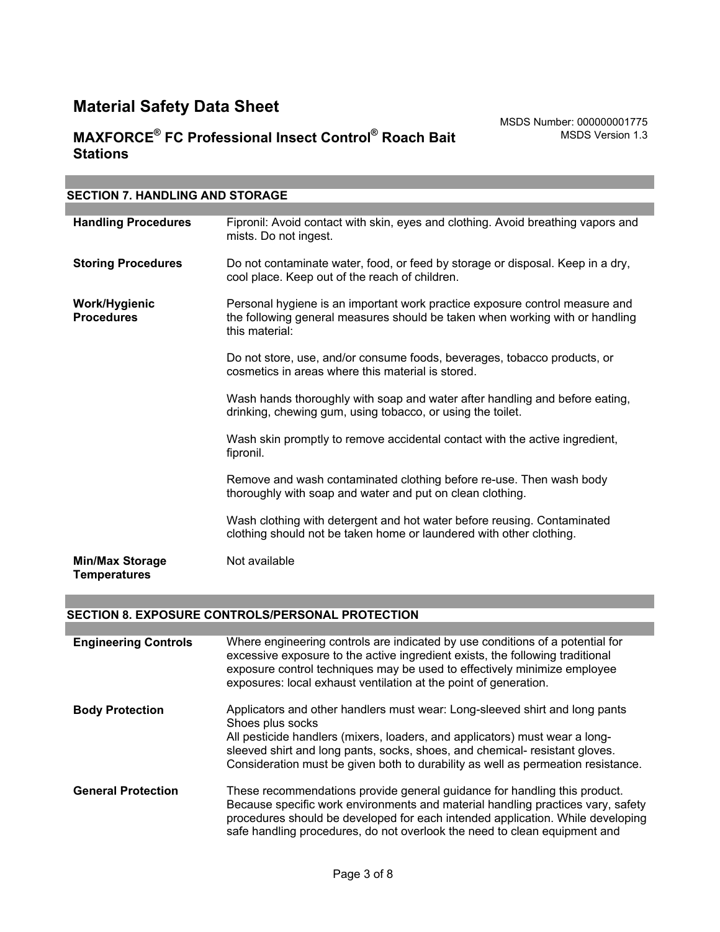| <b>SECTION 7. HANDLING AND STORAGE</b>        |                                                                                                                                                                               |
|-----------------------------------------------|-------------------------------------------------------------------------------------------------------------------------------------------------------------------------------|
|                                               |                                                                                                                                                                               |
| <b>Handling Procedures</b>                    | Fipronil: Avoid contact with skin, eyes and clothing. Avoid breathing vapors and<br>mists. Do not ingest.                                                                     |
| <b>Storing Procedures</b>                     | Do not contaminate water, food, or feed by storage or disposal. Keep in a dry,<br>cool place. Keep out of the reach of children.                                              |
| Work/Hygienic<br><b>Procedures</b>            | Personal hygiene is an important work practice exposure control measure and<br>the following general measures should be taken when working with or handling<br>this material: |
|                                               | Do not store, use, and/or consume foods, beverages, tobacco products, or<br>cosmetics in areas where this material is stored.                                                 |
|                                               | Wash hands thoroughly with soap and water after handling and before eating,<br>drinking, chewing gum, using tobacco, or using the toilet.                                     |
|                                               | Wash skin promptly to remove accidental contact with the active ingredient,<br>fipronil.                                                                                      |
|                                               | Remove and wash contaminated clothing before re-use. Then wash body<br>thoroughly with soap and water and put on clean clothing.                                              |
|                                               | Wash clothing with detergent and hot water before reusing. Contaminated<br>clothing should not be taken home or laundered with other clothing.                                |
| <b>Min/Max Storage</b><br><b>Temperatures</b> | Not available                                                                                                                                                                 |

#### **SECTION 8. EXPOSURE CONTROLS/PERSONAL PROTECTION**

| <b>Engineering Controls</b> | Where engineering controls are indicated by use conditions of a potential for<br>excessive exposure to the active ingredient exists, the following traditional<br>exposure control techniques may be used to effectively minimize employee<br>exposures: local exhaust ventilation at the point of generation.                                    |
|-----------------------------|---------------------------------------------------------------------------------------------------------------------------------------------------------------------------------------------------------------------------------------------------------------------------------------------------------------------------------------------------|
| <b>Body Protection</b>      | Applicators and other handlers must wear: Long-sleeved shirt and long pants<br>Shoes plus socks<br>All pesticide handlers (mixers, loaders, and applicators) must wear a long-<br>sleeved shirt and long pants, socks, shoes, and chemical- resistant gloves.<br>Consideration must be given both to durability as well as permeation resistance. |
| <b>General Protection</b>   | These recommendations provide general guidance for handling this product.<br>Because specific work environments and material handling practices vary, safety<br>procedures should be developed for each intended application. While developing<br>safe handling procedures, do not overlook the need to clean equipment and                       |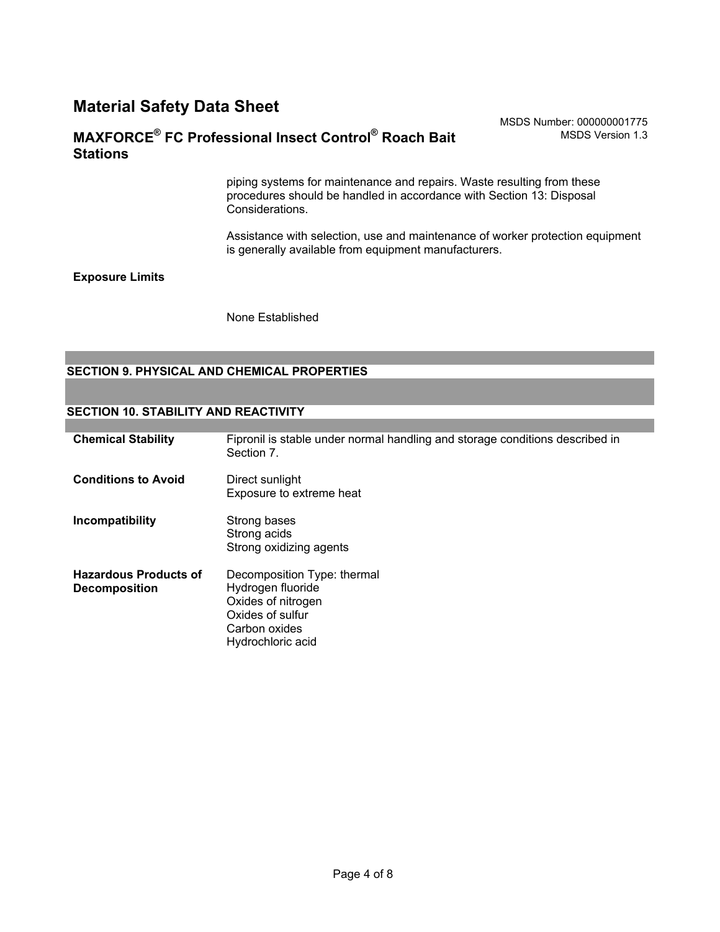### **MAXFORCE® FC Professional Insect Control® Roach Bait Stations**

piping systems for maintenance and repairs. Waste resulting from these procedures should be handled in accordance with Section 13: Disposal Considerations.

Assistance with selection, use and maintenance of worker protection equipment is generally available from equipment manufacturers.

#### **Exposure Limits**

None Established

#### **SECTION 9. PHYSICAL AND CHEMICAL PROPERTIES**

#### **SECTION 10. STABILITY AND REACTIVITY**

| <b>Chemical Stability</b>                            | Fipronil is stable under normal handling and storage conditions described in<br>Section 7.                                       |
|------------------------------------------------------|----------------------------------------------------------------------------------------------------------------------------------|
| <b>Conditions to Avoid</b>                           | Direct sunlight<br>Exposure to extreme heat                                                                                      |
| Incompatibility                                      | Strong bases<br>Strong acids<br>Strong oxidizing agents                                                                          |
| <b>Hazardous Products of</b><br><b>Decomposition</b> | Decomposition Type: thermal<br>Hydrogen fluoride<br>Oxides of nitrogen<br>Oxides of sulfur<br>Carbon oxides<br>Hydrochloric acid |

MSDS Number: 000000001775 MSDS Version 1.3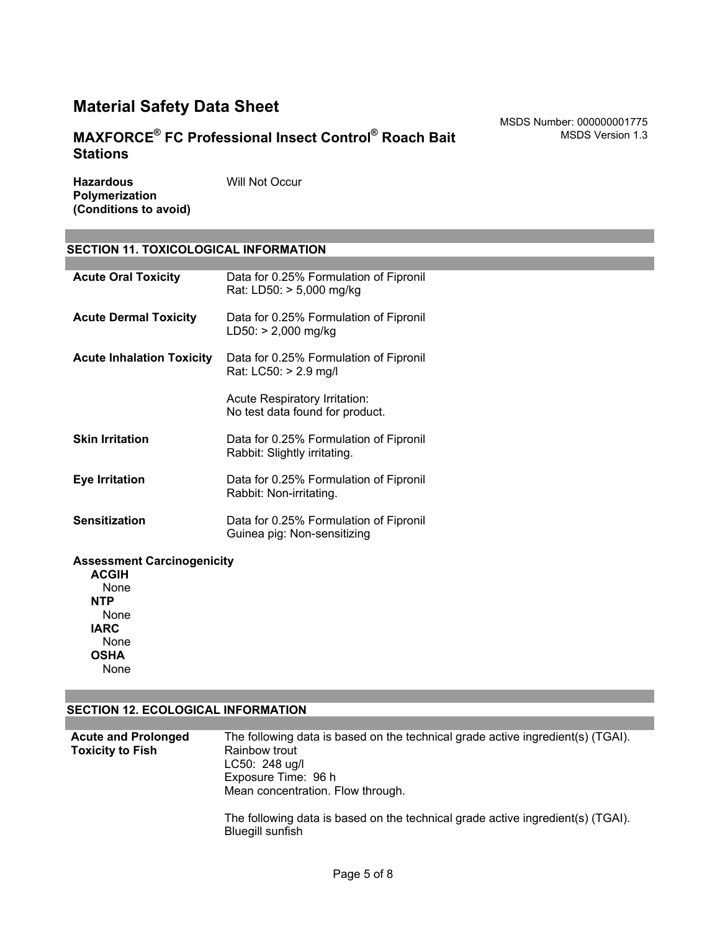# **MAXFORCE® FC Professional Insect Control® Roach Bait Stations**

**Hazardous Polymerization (Conditions to avoid)** Will Not Occur

#### **SECTION 11. TOXICOLOGICAL INFORMATION**

| <b>Acute Oral Toxicity</b>       | Data for 0.25% Formulation of Fipronil<br>Rat: LD50: > 5,000 mg/kg     |
|----------------------------------|------------------------------------------------------------------------|
| <b>Acute Dermal Toxicity</b>     | Data for 0.25% Formulation of Fipronil<br>LD50: > 2,000 mg/kg          |
| <b>Acute Inhalation Toxicity</b> | Data for 0.25% Formulation of Fipronil<br>Rat: LC50: > 2.9 mg/l        |
|                                  | Acute Respiratory Irritation:<br>No test data found for product.       |
| <b>Skin Irritation</b>           | Data for 0.25% Formulation of Fipronil<br>Rabbit: Slightly irritating. |
| Eye Irritation                   | Data for 0.25% Formulation of Fipronil<br>Rabbit: Non-irritating.      |
| <b>Sensitization</b>             | Data for 0.25% Formulation of Fipronil<br>Guinea pig: Non-sensitizing  |
|                                  |                                                                        |

#### **Assessment Carcinogenicity**

**ACGIH** None **NTP** None **IARC** None **OSHA** None

#### **SECTION 12. ECOLOGICAL INFORMATION**

| <b>Acute and Prolonged</b> | The following data is based on the technical grade active ingredient(s) (TGAI). |
|----------------------------|---------------------------------------------------------------------------------|
| <b>Toxicity to Fish</b>    | Rainbow trout                                                                   |
|                            | $LC50: 248$ ug/l                                                                |
|                            | Exposure Time: 96 h                                                             |
|                            | Mean concentration. Flow through.                                               |
|                            | The following data is based on the technical grade active ingredient(s) (TGAI). |

Bluegill sunfish

MSDS Number: 000000001775

MSDS Version 1.3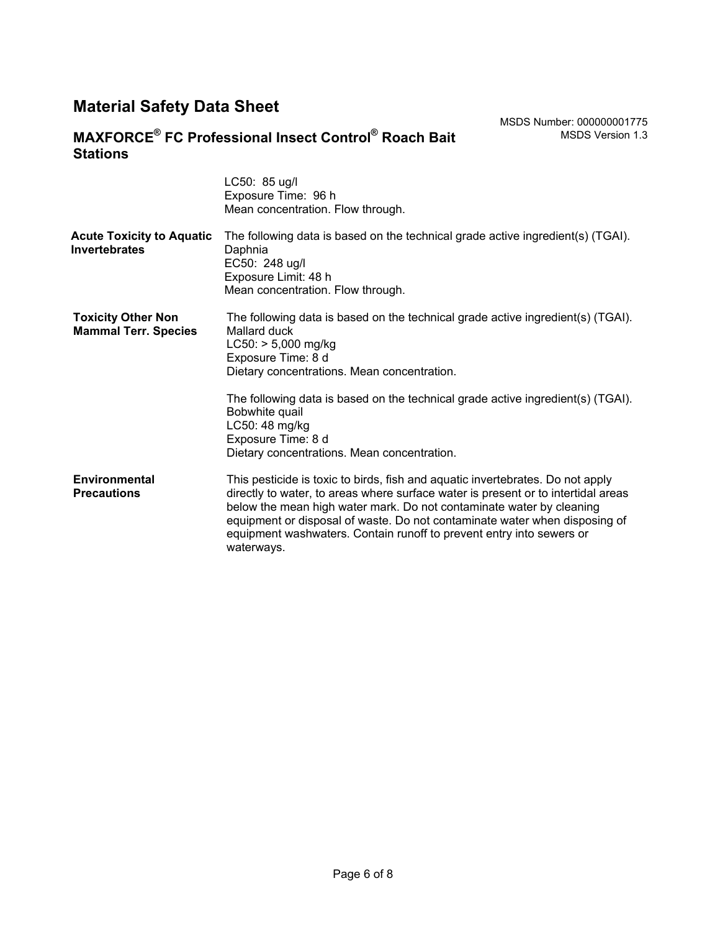# **MAXFORCE® FC Professional Insect Control® Roach Bait Stations**

|                                                          | LC50: 85 ug/l<br>Exposure Time: 96 h<br>Mean concentration. Flow through.                                                                                                                                                                                                                                                                                                                                       |
|----------------------------------------------------------|-----------------------------------------------------------------------------------------------------------------------------------------------------------------------------------------------------------------------------------------------------------------------------------------------------------------------------------------------------------------------------------------------------------------|
| <b>Acute Toxicity to Aquatic</b><br><b>Invertebrates</b> | The following data is based on the technical grade active ingredient(s) (TGAI).<br>Daphnia<br>EC50: 248 ug/l<br>Exposure Limit: 48 h<br>Mean concentration. Flow through.                                                                                                                                                                                                                                       |
| <b>Toxicity Other Non</b><br><b>Mammal Terr. Species</b> | The following data is based on the technical grade active ingredient(s) (TGAI).<br>Mallard duck<br>$LC50:$ > 5,000 mg/kg<br>Exposure Time: 8 d<br>Dietary concentrations. Mean concentration.                                                                                                                                                                                                                   |
|                                                          | The following data is based on the technical grade active ingredient(s) (TGAI).<br>Bobwhite quail<br>LC50: 48 mg/kg<br>Exposure Time: 8 d<br>Dietary concentrations. Mean concentration.                                                                                                                                                                                                                        |
| Environmental<br><b>Precautions</b>                      | This pesticide is toxic to birds, fish and aquatic invertebrates. Do not apply<br>directly to water, to areas where surface water is present or to intertidal areas<br>below the mean high water mark. Do not contaminate water by cleaning<br>equipment or disposal of waste. Do not contaminate water when disposing of<br>equipment washwaters. Contain runoff to prevent entry into sewers or<br>waterways. |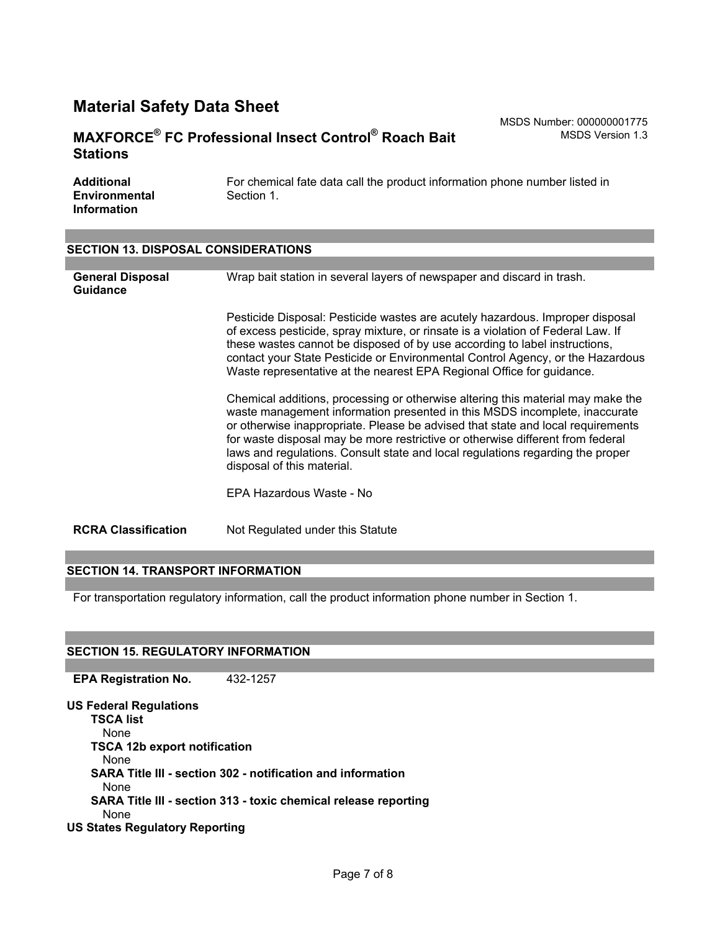### **MAXFORCE® FC Professional Insect Control® Roach Bait Stations**

MSDS Number: 000000001775 MSDS Version 1.3

| <b>Additional</b>    | For chemical fate data call the product information phone number listed in |
|----------------------|----------------------------------------------------------------------------|
| <b>Environmental</b> | Section 1.                                                                 |
| <b>Information</b>   |                                                                            |

#### **SECTION 13. DISPOSAL CONSIDERATIONS**

| <b>General Disposal</b><br><b>Guidance</b> | Wrap bait station in several layers of newspaper and discard in trash.                                                                                                                                                                                                                                                                                                                                                                             |
|--------------------------------------------|----------------------------------------------------------------------------------------------------------------------------------------------------------------------------------------------------------------------------------------------------------------------------------------------------------------------------------------------------------------------------------------------------------------------------------------------------|
|                                            | Pesticide Disposal: Pesticide wastes are acutely hazardous. Improper disposal<br>of excess pesticide, spray mixture, or rinsate is a violation of Federal Law. If<br>these wastes cannot be disposed of by use according to label instructions,<br>contact your State Pesticide or Environmental Control Agency, or the Hazardous<br>Waste representative at the nearest EPA Regional Office for guidance.                                         |
|                                            | Chemical additions, processing or otherwise altering this material may make the<br>waste management information presented in this MSDS incomplete, inaccurate<br>or otherwise inappropriate. Please be advised that state and local requirements<br>for waste disposal may be more restrictive or otherwise different from federal<br>laws and regulations. Consult state and local regulations regarding the proper<br>disposal of this material. |
|                                            | EPA Hazardous Waste - No                                                                                                                                                                                                                                                                                                                                                                                                                           |
| <b>RCRA Classification</b>                 | Not Regulated under this Statute                                                                                                                                                                                                                                                                                                                                                                                                                   |

#### **SECTION 14. TRANSPORT INFORMATION**

For transportation regulatory information, call the product information phone number in Section 1.

#### **SECTION 15. REGULATORY INFORMATION**

**EPA Registration No.** 432-1257

**US Federal Regulations TSCA list** None **TSCA 12b export notification** None **SARA Title III - section 302 - notification and information** None **SARA Title III - section 313 - toxic chemical release reporting** None